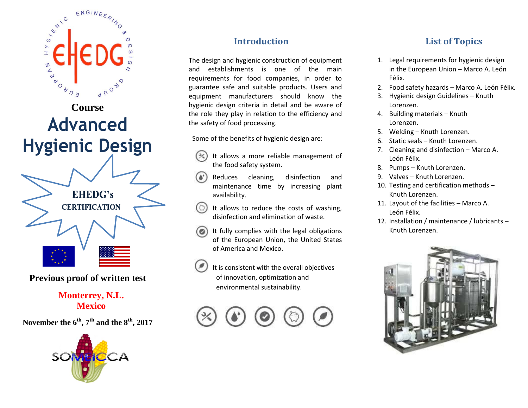

**Previous proof of written test**

## **Monterrey, N.L. Mexico**

**November the 6th, 7th and the 8th, 2017**



# **Introduction**

The design and hygienic construction of equipment and establishments is one of the main requirements for food companies, in order to guarantee safe and suitable products. Users and equipment manufacturers should know the hygienic design criteria in detail and be aware of the role they play in relation to the efficiency and the safety of food processing.

Some of the benefits of hygienic design are:

- It allows a more reliable management of the food safety system.
- Reduces cleaning, disinfection and maintenance time by increasing plant availability.
- It allows to reduce the costs of washing, disinfection and elimination of waste.
- It fully complies with the legal obligations of the European Union, the United States of America and Mexico.
- It is consistent with the overall objectives of innovation, optimization and environmental sustainability.



# **List of Topics**

- 1. Legal requirements for hygienic design in the European Union – Marco A. León Félix.
- 2. Food safety hazards Marco A. León Félix.
- 3. Hygienic design Guidelines Knuth Lorenzen.
- 4. Building materials Knuth Lorenzen.
- 5. Welding Knuth Lorenzen.
- 6. Static seals Knuth Lorenzen.
- 7. Cleaning and disinfection Marco A. León Félix.
- 8. Pumps Knuth Lorenzen.
- 9. Valves Knuth Lorenzen.
- 10. Testing and certification methods Knuth Lorenzen.
- 11. Layout of the facilities Marco A. León Félix.
- 12. Installation / maintenance / lubricants Knuth Lorenzen.